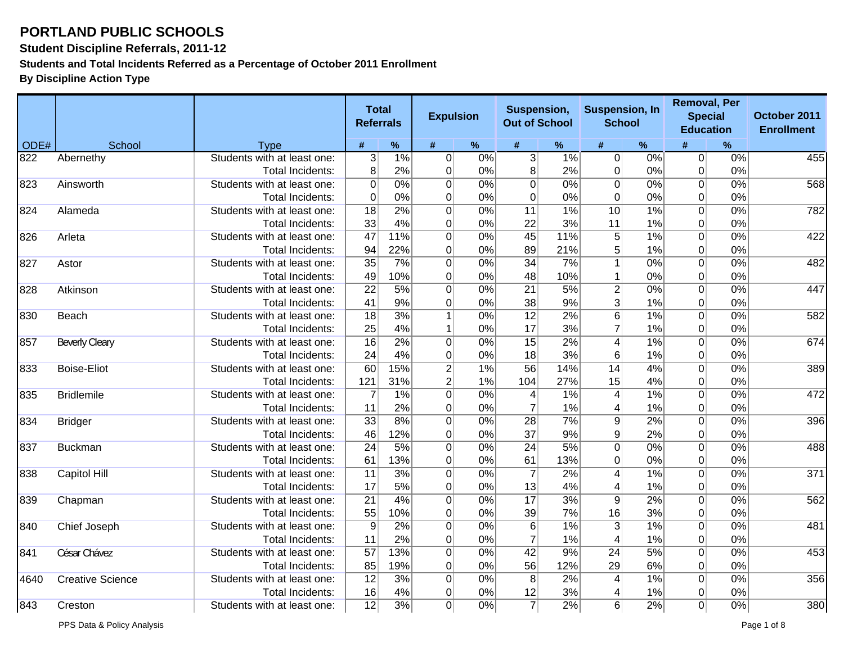**Student Discipline Referrals, 2011-12**

**Students and Total Incidents Referred as a Percentage of October 2011 Enrollment**

**By Discipline Action Type**

|      |                         |                             | <b>Total</b><br><b>Referrals</b> |                  | <b>Expulsion</b> |      | Suspension,<br><b>Out of School</b> |      | <b>Suspension, In</b><br><b>School</b> |      | <b>Removal, Per</b><br><b>Special</b><br><b>Education</b> |                  | October 2011<br><b>Enrollment</b> |
|------|-------------------------|-----------------------------|----------------------------------|------------------|------------------|------|-------------------------------------|------|----------------------------------------|------|-----------------------------------------------------------|------------------|-----------------------------------|
| ODE# | School                  | <b>Type</b>                 | #                                | $\%$             | #                | $\%$ | #                                   | $\%$ | #                                      | $\%$ |                                                           | %                |                                   |
| 822  | Abernethy               | Students with at least one: | 3 <sup>2</sup>                   | 1%               | 0                | 0%   | $\overline{3}$                      | 1%   | $\overline{0}$                         | 0%   | 0                                                         | 0%               | 455                               |
|      |                         | Total Incidents:            | 8 <sup>2</sup>                   | 2%               | $\mathbf 0$      | 0%   | 8                                   | 2%   | 0                                      | 0%   | $\overline{0}$                                            | 0%               |                                   |
| 823  | Ainsworth               | Students with at least one: | $\overline{0}$                   | 0%               | 0                | 0%   | $\Omega$                            | 0%   | $\overline{0}$                         | 0%   | $\overline{0}$                                            | 0%               | 568                               |
|      |                         | Total Incidents:            | $\overline{0}$                   | 0%               | 0                | 0%   | 0                                   | 0%   | $\mathbf 0$                            | 0%   | 0                                                         | 0%               |                                   |
| 824  | Alameda                 | Students with at least one: | $\overline{18}$                  | $\overline{2\%}$ | $\overline{0}$   | 0%   | $\overline{11}$                     | 1%   | $\overline{10}$                        | 1%   | $\overline{0}$                                            | $\overline{0\%}$ | 782                               |
|      |                         | Total Incidents:            | 33                               | 4%               | 0                | 0%   | 22                                  | 3%   | 11                                     | 1%   | 0                                                         | 0%               |                                   |
| 826  | Arleta                  | Students with at least one: | 47                               | 11%              | 0                | 0%   | 45                                  | 11%  | $\overline{5}$                         | 1%   | $\overline{0}$                                            | $\overline{0\%}$ | 422                               |
|      |                         | <b>Total Incidents:</b>     | 94                               | 22%              | $\overline{0}$   | 0%   | 89                                  | 21%  | 5                                      | 1%   | 0                                                         | 0%               |                                   |
| 827  | Astor                   | Students with at least one: | $\overline{35}$                  | 7%               | $\overline{0}$   | 0%   | $\overline{34}$                     | 7%   | $\overline{1}$                         | 0%   | $\Omega$                                                  | $\overline{0\%}$ | 482                               |
|      |                         | <b>Total Incidents:</b>     | 49                               | 10%              | $\overline{0}$   | 0%   | 48                                  | 10%  | $\mathbf{1}$                           | 0%   | $\Omega$                                                  | 0%               |                                   |
| 828  | Atkinson                | Students with at least one: | $\overline{22}$                  | 5%               | $\overline{0}$   | 0%   | $\overline{21}$                     | 5%   | $\overline{2}$                         | 0%   | $\overline{0}$                                            | $\overline{0\%}$ | 447                               |
|      |                         | Total Incidents:            | 41                               | 9%               | $\overline{0}$   | 0%   | 38                                  | 9%   | 3                                      | 1%   | 0                                                         | 0%               |                                   |
| 830  | Beach                   | Students with at least one: | $\overline{18}$                  | 3%               | $\mathbf{1}$     | 0%   | $\overline{12}$                     | 2%   | $\overline{6}$                         | 1%   | $\overline{0}$                                            | $\overline{0\%}$ | 582                               |
|      |                         | Total Incidents:            | 25                               | 4%               | $\mathbf 1$      | 0%   | 17                                  | 3%   | 7                                      | 1%   | 0                                                         | 0%               |                                   |
| 857  | <b>Beverly Cleary</b>   | Students with at least one: | $\overline{16}$                  | 2%               | $\overline{0}$   | 0%   | $\overline{15}$                     | 2%   | $\overline{4}$                         | 1%   | $\Omega$                                                  | 0%               | 674                               |
|      |                         | Total Incidents:            | 24                               | 4%               | $\Omega$         | 0%   | 18                                  | 3%   | 6                                      | 1%   | 0                                                         | 0%               |                                   |
| 833  | <b>Boise-Eliot</b>      | Students with at least one: | 60                               | 15%              | $\overline{2}$   | 1%   | 56                                  | 14%  | $\overline{14}$                        | 4%   | $\overline{0}$                                            | 0%               | 389                               |
|      |                         | <b>Total Incidents:</b>     | 121                              | 31%              | $\mathbf{2}$     | 1%   | 104                                 | 27%  | 15                                     | 4%   | 0                                                         | 0%               |                                   |
| 835  | <b>Bridlemile</b>       | Students with at least one: | $\overline{7}$                   | 1%               | $\overline{0}$   | 0%   | $\overline{4}$                      | 1%   | $\overline{4}$                         | 1%   | $\overline{0}$                                            | 0%               | 472                               |
|      |                         | Total Incidents:            | 11                               | 2%               | $\overline{0}$   | 0%   | 7                                   | 1%   | 4                                      | 1%   | $\Omega$                                                  | 0%               |                                   |
| 834  | <b>Bridger</b>          | Students with at least one: | $\overline{33}$                  | 8%               | $\overline{0}$   | 0%   | $\overline{28}$                     | 7%   | $\overline{9}$                         | 2%   | $\overline{0}$                                            | 0%               | 396                               |
|      |                         | Total Incidents:            | 46                               | 12%              | 0                | 0%   | 37                                  | 9%   | 9                                      | 2%   | $\Omega$                                                  | 0%               |                                   |
| 837  | <b>Buckman</b>          | Students with at least one: | $\overline{24}$                  | 5%               | $\overline{0}$   | 0%   | $\overline{24}$                     | 5%   | $\overline{0}$                         | 0%   | 0                                                         | 0%               | 488                               |
|      |                         | Total Incidents:            | 61                               | 13%              | $\overline{0}$   | 0%   | 61                                  | 13%  | 0                                      | 0%   | 0                                                         | 0%               |                                   |
| 838  | Capitol Hill            | Students with at least one: | $\overline{11}$                  | 3%               | $\overline{0}$   | 0%   | $\overline{7}$                      | 2%   | $\overline{4}$                         | 1%   | $\Omega$                                                  | 0%               | 371                               |
|      |                         | <b>Total Incidents:</b>     | 17                               | 5%               | $\overline{0}$   | 0%   | 13                                  | 4%   | 4                                      | 1%   | 0                                                         | 0%               |                                   |
| 839  | Chapman                 | Students with at least one: | $\overline{21}$                  | 4%               | $\overline{0}$   | 0%   | $\overline{17}$                     | 3%   | $\overline{9}$                         | 2%   | $\overline{0}$                                            | 0%               | 562                               |
|      |                         | Total Incidents:            | 55                               | 10%              | 0                | 0%   | 39                                  | 7%   | 16                                     | 3%   | 0                                                         | 0%               |                                   |
| 840  | <b>Chief Joseph</b>     | Students with at least one: | $\overline{9}$                   | 2%               | $\overline{0}$   | 0%   | $\overline{6}$                      | 1%   | $\overline{3}$                         | 1%   | $\overline{0}$                                            | 0%               | 481                               |
|      |                         | <b>Total Incidents:</b>     | 11                               | 2%               | 0                | 0%   | $\overline{7}$                      | 1%   | 4                                      | 1%   | $\Omega$                                                  | 0%               |                                   |
| 841  | César Chávez            | Students with at least one: | $\overline{57}$                  | 13%              | 0                | 0%   | $\overline{42}$                     | 9%   | $\overline{24}$                        | 5%   | $\overline{0}$                                            | 0%               | 453                               |
|      |                         | <b>Total Incidents:</b>     | 85                               | 19%              | 0                | 0%   | 56                                  | 12%  | 29                                     | 6%   | $\Omega$                                                  | 0%               |                                   |
| 4640 | <b>Creative Science</b> | Students with at least one: | $\overline{12}$                  | 3%               | 0                | 0%   | 8                                   | 2%   | $\overline{4}$                         | 1%   | 0                                                         | 0%               | 356                               |
|      |                         | <b>Total Incidents:</b>     | 16                               | 4%               | $\overline{0}$   | 0%   | 12                                  | 3%   | 4                                      | 1%   | 0                                                         | 0%               |                                   |
| 843  | Creston                 | Students with at least one: | $\overline{12}$                  | 3%               | $\overline{0}$   | 0%   | $\overline{7}$                      | 2%   | 6                                      | 2%   | 0                                                         | 0%               | 380                               |

PPS Data & Policy Analysis Page 1 of 8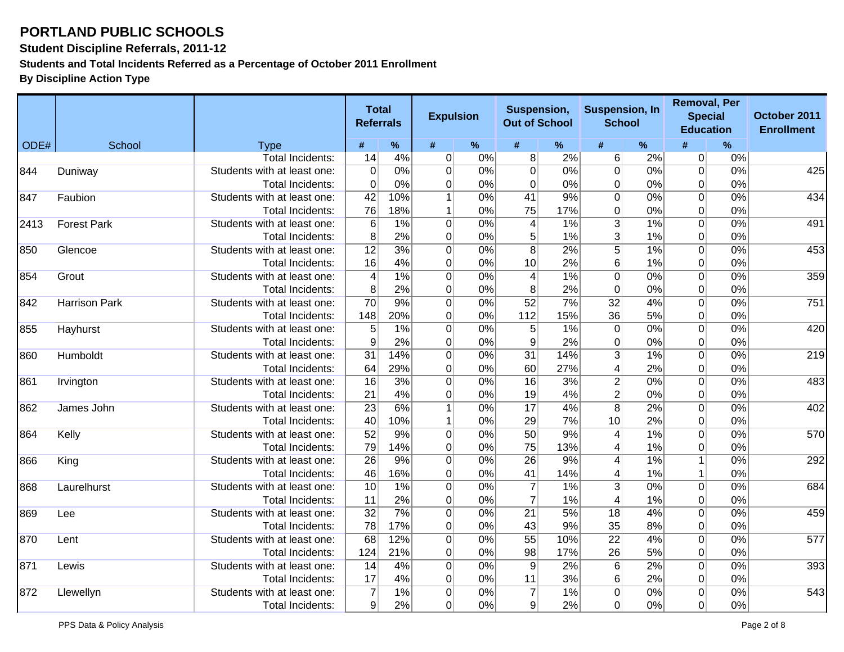**Student Discipline Referrals, 2011-12**

**Students and Total Incidents Referred as a Percentage of October 2011 Enrollment**

|      |                      |                             | <b>Total</b><br><b>Referrals</b> |      | <b>Expulsion</b> |       | Suspension,<br><b>Suspension, In</b><br><b>Out of School</b><br><b>School</b> |     | <b>Removal, Per</b><br><b>Special</b><br><b>Education</b> |       | October 2011<br><b>Enrollment</b> |                  |     |
|------|----------------------|-----------------------------|----------------------------------|------|------------------|-------|-------------------------------------------------------------------------------|-----|-----------------------------------------------------------|-------|-----------------------------------|------------------|-----|
| ODE# | School               | <b>Type</b>                 | #                                | $\%$ | #                | $\%$  | #                                                                             | %   | #                                                         | $\%$  | #                                 | %                |     |
|      |                      | <b>Total Incidents:</b>     | 14                               | 4%   | $\overline{0}$   | 0%    | 8                                                                             | 2%  | 6                                                         | 2%    | $\overline{0}$                    | 0%               |     |
| 844  | Duniway              | Students with at least one: | $\overline{0}$                   | 0%   | $\overline{0}$   | 0%    | $\overline{0}$                                                                | 0%  | $\overline{0}$                                            | 0%    | $\overline{0}$                    | 0%               | 425 |
|      |                      | Total Incidents:            | $\Omega$                         | 0%   | 0                | 0%    | $\overline{0}$                                                                | 0%  | $\overline{0}$                                            | 0%    | $\overline{0}$                    | 0%               |     |
| 847  | Faubion              | Students with at least one: | $\overline{42}$                  | 10%  | $\mathbf{1}$     | 0%    | 41                                                                            | 9%  | $\overline{0}$                                            | 0%    | $\overline{0}$                    | 0%               | 434 |
|      |                      | Total Incidents:            | 76                               | 18%  | 1                | 0%    | 75                                                                            | 17% | $\overline{0}$                                            | 0%    | 0                                 | 0%               |     |
| 2413 | <b>Forest Park</b>   | Students with at least one: | $\,6$                            | 1%   | $\overline{0}$   | 0%    | $\overline{4}$                                                                | 1%  | $\overline{3}$                                            | 1%    | $\Omega$                          | 0%               | 491 |
|      |                      | Total Incidents:            | 8 <sup>°</sup>                   | 2%   | $\Omega$         | 0%    | 5                                                                             | 1%  | $\overline{3}$                                            | 1%    | $\overline{0}$                    | 0%               |     |
| 850  | Glencoe              | Students with at least one: | 12                               | 3%   | $\overline{0}$   | 0%    | 8                                                                             | 2%  | $\overline{5}$                                            | 1%    | $\Omega$                          | 0%               | 453 |
|      |                      | Total Incidents:            | 16                               | 4%   | $\overline{0}$   | 0%    | 10                                                                            | 2%  | $6 \overline{6}$                                          | 1%    | $\overline{0}$                    | 0%               |     |
| 854  | Grout                | Students with at least one: | $\overline{4}$                   | 1%   | $\overline{0}$   | 0%    | $\vert$                                                                       | 1%  | $\overline{0}$                                            | 0%    | $\overline{0}$                    | 0%               | 359 |
|      |                      | Total Incidents:            | 8 <sup>°</sup>                   | 2%   | $\overline{0}$   | 0%    | $\boldsymbol{8}$                                                              | 2%  | $\overline{0}$                                            | 0%    | $\overline{0}$                    | 0%               |     |
| 842  | <b>Harrison Park</b> | Students with at least one: | $\overline{70}$                  | 9%   | $\overline{0}$   | 0%    | $\overline{52}$                                                               | 7%  | $\overline{32}$                                           | 4%    | $\overline{0}$                    | 0%               | 751 |
|      |                      | Total Incidents:            | 148                              | 20%  | $\overline{0}$   | 0%    | 112                                                                           | 15% | 36                                                        | 5%    | $\overline{0}$                    | 0%               |     |
| 855  | Hayhurst             | Students with at least one: | $\overline{5}$                   | 1%   | $\overline{0}$   | 0%    | $\overline{5}$                                                                | 1%  | $\overline{0}$                                            | 0%    | $\Omega$                          | $\overline{0\%}$ | 420 |
|      |                      | Total Incidents:            | 9                                | 2%   | $\mathbf 0$      | 0%    | 9                                                                             | 2%  | $\overline{0}$                                            | 0%    | 0                                 | 0%               |     |
| 860  | Humboldt             | Students with at least one: | $\overline{31}$                  | 14%  | $\overline{0}$   | 0%    | $\overline{31}$                                                               | 14% | $\overline{3}$                                            | 1%    | $\Omega$                          | 0%               | 219 |
|      |                      | Total Incidents:            | 64                               | 29%  | 0                | 0%    | 60                                                                            | 27% | $\overline{4}$                                            | 2%    | $\overline{0}$                    | 0%               |     |
| 861  | Irvington            | Students with at least one: | 16                               | 3%   | $\overline{0}$   | 0%    | $\overline{16}$                                                               | 3%  | $\overline{2}$                                            | 0%    | $\overline{0}$                    | 0%               | 483 |
|      |                      | Total Incidents:            | 21                               | 4%   | 0                | 0%    | 19                                                                            | 4%  | $\overline{2}$                                            | 0%    | $\Omega$                          | 0%               |     |
| 862  | James John           | Students with at least one: | $\overline{23}$                  | 6%   | $\mathbf 1$      | 0%    | $\overline{17}$                                                               | 4%  | $\overline{8}$                                            | 2%    | $\overline{0}$                    | 0%               | 402 |
|      |                      | Total Incidents:            | 40                               | 10%  | $\mathbf 1$      | 0%    | 29                                                                            | 7%  | 10                                                        | 2%    | $\overline{0}$                    | 0%               |     |
| 864  | Kelly                | Students with at least one: | $\overline{52}$                  | 9%   | $\overline{0}$   | 0%    | 50                                                                            | 9%  | $\overline{4}$                                            | 1%    | $\overline{0}$                    | 0%               | 570 |
|      |                      | Total Incidents:            | 79                               | 14%  | $\mathbf 0$      | 0%    | 75                                                                            | 13% | 4                                                         | 1%    | $\overline{0}$                    | 0%               |     |
| 866  | King                 | Students with at least one: | $\overline{26}$                  | 9%   | $\overline{0}$   | 0%    | $\overline{26}$                                                               | 9%  | 4                                                         | 1%    | $\mathbf{1}$                      | 0%               | 292 |
|      |                      | Total Incidents:            | 46                               | 16%  | $\mathbf 0$      | 0%    | 41                                                                            | 14% | 4                                                         | 1%    | 1                                 | 0%               |     |
| 868  | Laurelhurst          | Students with at least one: | $\overline{10}$                  | 1%   | $\overline{0}$   | 0%    | $\overline{7}$                                                                | 1%  | $\overline{3}$                                            | 0%    | $\Omega$                          | 0%               | 684 |
|      |                      | Total Incidents:            | 11                               | 2%   | $\overline{0}$   | 0%    | $\overline{7}$                                                                | 1%  | 4                                                         | 1%    | $\overline{0}$                    | 0%               |     |
| 869  | Lee                  | Students with at least one: | $\overline{32}$                  | 7%   | $\overline{0}$   | 0%    | $\overline{21}$                                                               | 5%  | $\overline{18}$                                           | 4%    | $\Omega$                          | 0%               | 459 |
|      |                      | <b>Total Incidents:</b>     | 78                               | 17%  | $\mathbf 0$      | 0%    | 43                                                                            | 9%  | 35                                                        | 8%    | $\overline{0}$                    | 0%               |     |
| 870  | Lent                 | Students with at least one: | 68                               | 12%  | $\overline{0}$   | 0%    | $\overline{55}$                                                               | 10% | $\overline{22}$                                           | 4%    | $\overline{0}$                    | 0%               | 577 |
|      |                      | Total Incidents:            | 124                              | 21%  | $\overline{0}$   | 0%    | 98                                                                            | 17% | 26                                                        | 5%    | $\overline{0}$                    | 0%               |     |
| 871  | Lewis                | Students with at least one: | 14                               | 4%   | $\overline{0}$   | 0%    | $\overline{9}$                                                                | 2%  | $6 \overline{6}$                                          | 2%    | $\overline{0}$                    | 0%               | 393 |
|      |                      | Total Incidents:            | 17                               | 4%   | $\overline{0}$   | 0%    | 11                                                                            | 3%  | $6 \overline{6}$                                          | 2%    | $\overline{0}$                    | 0%               |     |
| 872  | Llewellyn            | Students with at least one: | $\overline{7}$                   | 1%   | $\overline{0}$   | 0%    | $\overline{7}$                                                                | 1%  | $\overline{0}$                                            | $0\%$ | $\Omega$                          | 0%               | 543 |
|      |                      | Total Incidents:            | 9                                | 2%   | $\overline{0}$   | $0\%$ | $\overline{9}$                                                                | 2%  | 0                                                         | 0%    | 0                                 | 0%               |     |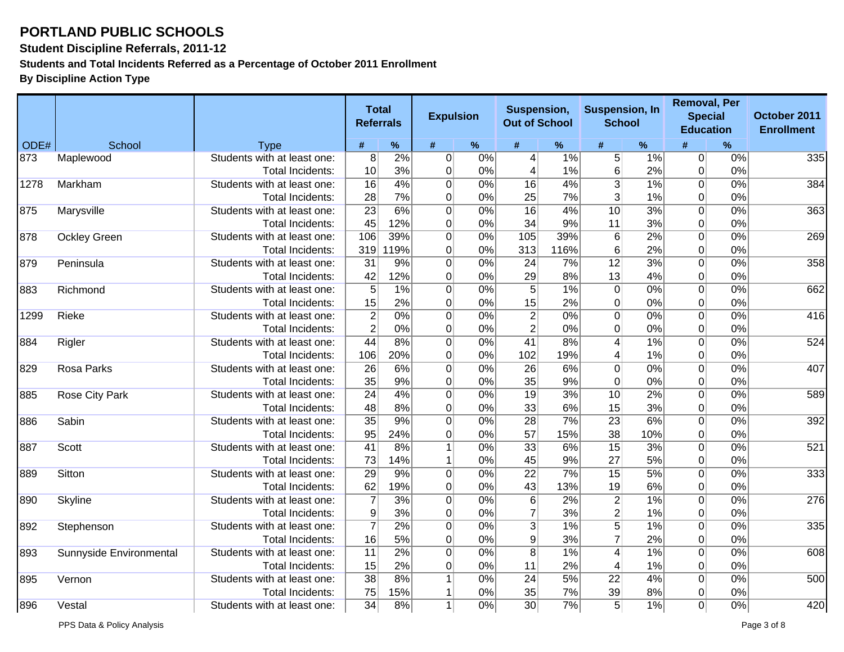**Student Discipline Referrals, 2011-12**

**Students and Total Incidents Referred as a Percentage of October 2011 Enrollment**

|      |                         |                             |                 | <b>Total</b><br><b>Referrals</b> | <b>Expulsion</b> |                  | Suspension,<br><b>Out of School</b> |                  | <b>Suspension, In</b><br><b>School</b> |                  | <b>Removal, Per</b><br><b>Education</b> | <b>Special</b>   | October 2011<br><b>Enrollment</b> |
|------|-------------------------|-----------------------------|-----------------|----------------------------------|------------------|------------------|-------------------------------------|------------------|----------------------------------------|------------------|-----------------------------------------|------------------|-----------------------------------|
| ODE# | School                  | <b>Type</b>                 | #               | $\%$                             | #                | $\%$             | #                                   | $\%$             | #                                      | $\%$             |                                         | %                |                                   |
| 873  | Maplewood               | Students with at least one: | $\overline{8}$  | 2%                               | 0                | 0%               | 4                                   | 1%               | 5 <sup>1</sup>                         | 1%               | $\overline{0}$                          | 0%               | 335                               |
|      |                         | Total Incidents:            | 10              | 3%                               | $\overline{0}$   | 0%               | 4                                   | 1%               | 6                                      | 2%               | $\overline{0}$                          | 0%               |                                   |
| 1278 | Markham                 | Students with at least one: | $\overline{16}$ | 4%                               | $\mathbf 0$      | 0%               | 16                                  | 4%               | $\overline{3}$                         | 1%               | $\overline{0}$                          | 0%               | 384                               |
|      |                         | Total Incidents:            | 28              | 7%                               | $\mathbf 0$      | 0%               | 25                                  | 7%               | $\overline{3}$                         | 1%               | 0                                       | 0%               |                                   |
| 875  | Marysville              | Students with at least one: | $\overline{23}$ | 6%                               | $\overline{0}$   | 0%               | $\overline{16}$                     | 4%               | $\overline{10}$                        | 3%               | $\Omega$                                | 0%               | 363                               |
|      |                         | Total Incidents:            | 45              | 12%                              | $\mathbf 0$      | 0%               | 34                                  | 9%               | 11                                     | 3%               | $\Omega$                                | 0%               |                                   |
| 878  | <b>Ockley Green</b>     | Students with at least one: | 106             | 39%                              | $\mathbf 0$      | 0%               | 105                                 | 39%              | $6 \overline{6}$                       | $\overline{2\%}$ | $\overline{0}$                          | 0%               | 269                               |
|      |                         | <b>Total Incidents:</b>     | 319             | 119%                             | 0                | 0%               | 313                                 | 116%             | $6 \,$                                 | 2%               | 0                                       | 0%               |                                   |
| 879  | Peninsula               | Students with at least one: | $\overline{31}$ | 9%                               | $\overline{0}$   | 0%               | $\overline{24}$                     | 7%               | $\overline{12}$                        | 3%               | $\overline{0}$                          | 0%               | 358                               |
|      |                         | <b>Total Incidents:</b>     | 42              | 12%                              | 0                | 0%               | 29                                  | 8%               | 13                                     | 4%               | $\overline{0}$                          | 0%               |                                   |
| 883  | Richmond                | Students with at least one: | $\overline{5}$  | 1%                               | $\overline{0}$   | 0%               | $\overline{5}$                      | 1%               | $\overline{0}$                         | 0%               | $\overline{0}$                          | 0%               | 662                               |
|      |                         | Total Incidents:            | 15              | 2%                               | $\mathbf 0$      | 0%               | 15                                  | 2%               | $\overline{0}$                         | 0%               | $\overline{0}$                          | 0%               |                                   |
| 1299 | Rieke                   | Students with at least one: | $\overline{2}$  | 0%                               | $\overline{0}$   | 0%               | $\overline{2}$                      | 0%               | $\overline{0}$                         | 0%               | $\overline{0}$                          | 0%               | 416                               |
|      |                         | <b>Total Incidents:</b>     | $\overline{2}$  | 0%                               | 0                | 0%               | $\overline{2}$                      | 0%               | 0                                      | 0%               | 0                                       | 0%               |                                   |
| 884  | Rigler                  | Students with at least one: | 44              | 8%                               | $\overline{0}$   | 0%               | $\overline{41}$                     | 8%               | $\overline{4}$                         | 1%               | $\Omega$                                | 0%               | 524                               |
|      |                         | <b>Total Incidents:</b>     | 106             | 20%                              | $\mathbf 0$      | 0%               | 102                                 | 19%              | 4                                      | 1%               | 0                                       | 0%               |                                   |
| 829  | Rosa Parks              | Students with at least one: | $\overline{26}$ | 6%                               | $\overline{0}$   | 0%               | 26                                  | 6%               | $\overline{0}$                         | 0%               | $\Omega$                                | 0%               | 407                               |
|      |                         | <b>Total Incidents:</b>     | 35              | 9%                               | $\mathbf 0$      | 0%               | 35                                  | 9%               | $\overline{0}$                         | 0%               | 0                                       | 0%               |                                   |
| 885  | Rose City Park          | Students with at least one: | $\overline{24}$ | 4%                               | $\mathbf 0$      | 0%               | $\overline{19}$                     | 3%               | 10                                     | 2%               | $\Omega$                                | 0%               | 589                               |
|      |                         | Total Incidents:            | 48              | 8%                               | $\mathbf 0$      | 0%               | 33                                  | 6%               | 15                                     | 3%               | $\Omega$                                | 0%               |                                   |
| 886  | Sabin                   | Students with at least one: | $\overline{35}$ | 9%                               | $\overline{0}$   | 0%               | $\overline{28}$                     | $\overline{7\%}$ | $\overline{23}$                        | 6%               | $\overline{0}$                          | $\overline{0\%}$ | 392                               |
|      |                         | <b>Total Incidents:</b>     | 95              | 24%                              | $\mathbf 0$      | 0%               | 57                                  | 15%              | 38                                     | 10%              | $\overline{0}$                          | 0%               |                                   |
| 887  | Scott                   | Students with at least one: | $\overline{41}$ | 8%                               | $\mathbf{1}$     | 0%               | 33                                  | 6%               | $\overline{15}$                        | 3%               | $\overline{0}$                          | 0%               | 521                               |
|      |                         | <b>Total Incidents:</b>     | 73              | 14%                              | 1                | 0%               | 45                                  | 9%               | 27                                     | 5%               | 0                                       | 0%               |                                   |
| 889  | Sitton                  | Students with at least one: | $\overline{29}$ | $\overline{9\%}$                 | $\overline{0}$   | 0%               | $\overline{22}$                     | 7%               | $\overline{15}$                        | 5%               | $\Omega$                                | 0%               | 333                               |
|      |                         | <b>Total Incidents:</b>     | 62              | 19%                              | $\mathbf 0$      | 0%               | 43                                  | 13%              | 19                                     | 6%               | 0                                       | 0%               |                                   |
| 890  | <b>Skyline</b>          | Students with at least one: | $\overline{7}$  | 3%                               | $\mathbf 0$      | 0%               | 6                                   | 2%               | $\mathbf{2}$                           | 1%               | $\Omega$                                | 0%               | 276                               |
|      |                         | Total Incidents:            | $9\,$           | 3%                               | $\pmb{0}$        | 0%               | $\overline{7}$                      | 3%               | $\overline{2}$                         | 1%               | $\overline{0}$                          | 0%               |                                   |
| 892  | Stephenson              | Students with at least one: | $\overline{7}$  | $\overline{2\%}$                 | $\overline{0}$   | $\overline{0\%}$ | $\overline{3}$                      | 1%               | $\overline{5}$                         | 1%               | $\overline{0}$                          | 0%               | 335                               |
|      |                         | Total Incidents:            | 16              | 5%                               | $\overline{0}$   | 0%               | 9                                   | 3%               | $\overline{7}$                         | 2%               | $\Omega$                                | 0%               |                                   |
| 893  | Sunnyside Environmental | Students with at least one: | $\overline{11}$ | 2%                               | $\mathbf 0$      | 0%               | 8                                   | 1%               | $\overline{4}$                         | 1%               | $\overline{0}$                          | $\overline{0\%}$ | 608                               |
|      |                         | <b>Total Incidents:</b>     | 15              | 2%                               | $\overline{0}$   | 0%               | 11                                  | 2%               | 4                                      | 1%               | $\Omega$                                | 0%               |                                   |
| 895  | Vernon                  | Students with at least one: | $\overline{38}$ | 8%                               |                  | 0%               | $\overline{24}$                     | 5%               | $\overline{22}$                        | 4%               | $\overline{0}$                          | 0%               | 500                               |
|      |                         | Total Incidents:            | 75              | 15%                              | $\mathbf 1$      | 0%               | 35                                  | 7%               | 39                                     | 8%               | $\overline{0}$                          | 0%               |                                   |
| 896  | Vestal                  | Students with at least one: | $\overline{34}$ | 8%                               | $\mathbf{1}$     | 0%               | 30                                  | 7%               | $\overline{5}$                         | 1%               | $\Omega$                                | $0\%$            | 420                               |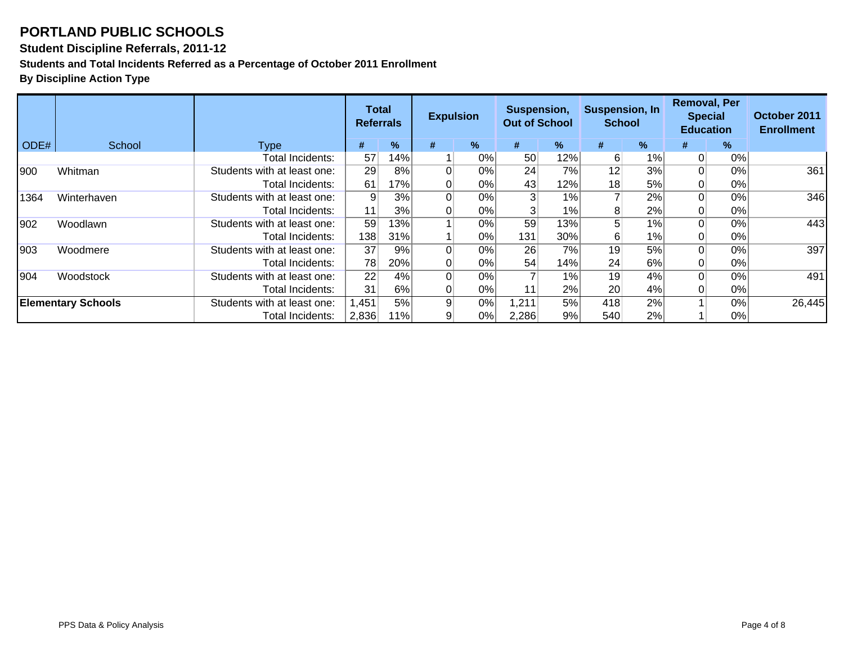#### **Student Discipline Referrals, 2011-12**

**Students and Total Incidents Referred as a Percentage of October 2011 Enrollment**

|      |                           |                             |       | Suspension,<br>Total<br><b>Expulsion</b><br><b>Out of School</b><br><b>Referrals</b> |          | <b>Suspension, In</b><br><b>School</b> |                 | <b>Removal, Per</b><br><b>Special</b> | <b>Education</b> | October 2011<br><b>Enrollment</b> |   |    |        |
|------|---------------------------|-----------------------------|-------|--------------------------------------------------------------------------------------|----------|----------------------------------------|-----------------|---------------------------------------|------------------|-----------------------------------|---|----|--------|
| ODE# | School                    | <b>Type</b>                 | #     | $\frac{9}{6}$                                                                        | #        | $\%$                                   | #               | %                                     | #                | %                                 | # | %  |        |
|      |                           | Total Incidents:            | 57    | 14%                                                                                  |          | 0%                                     | 50 <sup>°</sup> | 12%                                   | 6                | 1%                                |   | 0% |        |
| 900  | Whitman                   | Students with at least one: | 29    | 8%                                                                                   | $\Omega$ | 0%                                     | 24              | 7%                                    | 12               | 3%                                |   | 0% | 361    |
|      |                           | Total Incidents:            | 61    | 17%                                                                                  | 0        | 0%                                     | 43              | 12%                                   | 18               | 5%                                |   | 0% |        |
| 1364 | Winterhaven               | Students with at least one: | 9     | 3%                                                                                   | $\Omega$ | 0%                                     | 3 <sup>l</sup>  | 1%                                    |                  | 2%                                |   | 0% | 346    |
|      |                           | Total Incidents:            | 11    | 3%                                                                                   | 0        | 0%                                     |                 | 1%                                    | 8                | 2%                                |   | 0% |        |
| 902  | Woodlawn                  | Students with at least one: | 59    | 13%                                                                                  |          | 0%                                     | 59              | 13%                                   | 5                | 1%                                |   | 0% | 443    |
|      |                           | Total Incidents:            | 138   | 31%                                                                                  |          | 0%                                     | 131             | 30%l                                  | 6                | 1%                                |   | 0% |        |
| 903  | Woodmere                  | Students with at least one: | 37    | 9%                                                                                   | 0        | 0%                                     | 26              | 7%                                    | 19               | 5%                                |   | 0% | 397    |
|      |                           | Total Incidents:            | 78    | 20%                                                                                  | 01       | 0%                                     | 54              | 14%                                   | 24               | 6%                                |   | 0% |        |
| 904  | Woodstock                 | Students with at least one: | 22    | 4%                                                                                   | $\Omega$ | 0%                                     |                 | $1\%$                                 | 19               | 4%                                |   | 0% | 491    |
|      |                           | Total Incidents:            | 31    | 6%                                                                                   | 0        | 0%                                     | 11              | 2%                                    | 20 <sup>2</sup>  | 4%                                |   | 0% |        |
|      | <b>Elementary Schools</b> | Students with at least one: | 1,451 | 5%                                                                                   | 9        | 0%                                     | 1,211           | 5%                                    | 418              | 2%                                |   | 0% | 26,445 |
|      |                           | Total Incidents:            | 2,836 | 11%                                                                                  | 9        | $0\%$                                  | 2,286           | 9%                                    | 540              | 2%                                |   | 0% |        |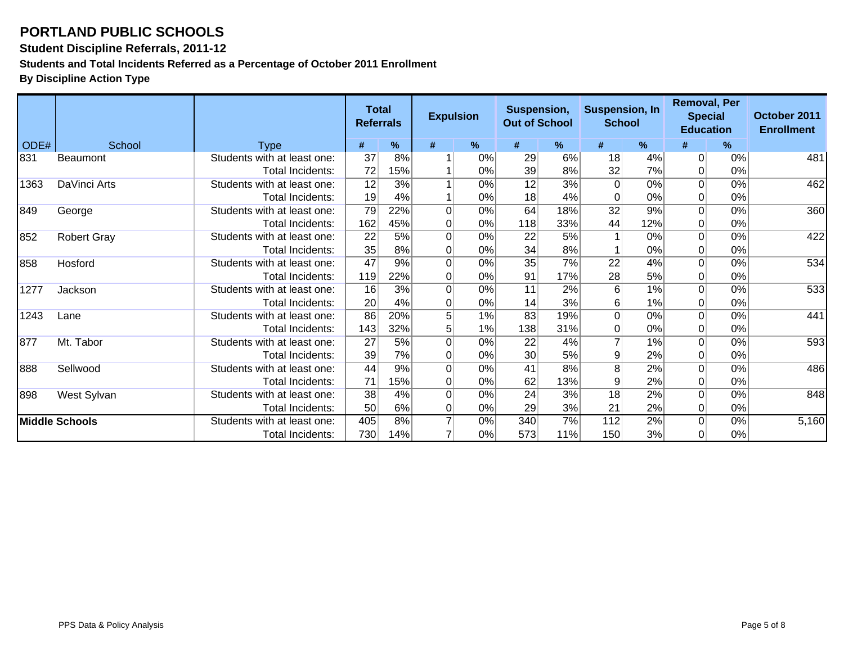**Student Discipline Referrals, 2011-12**

**Students and Total Incidents Referred as a Percentage of October 2011 Enrollment**

|      |                       |                             | <b>Total</b><br><b>Referrals</b> |     | <b>Expulsion</b> |       | Suspension,<br><b>Out of School</b> |     |                 | <b>Suspension, In</b><br><b>School</b> |                | <b>Removal, Per</b><br><b>Special</b><br><b>Education</b> | October 2011<br><b>Enrollment</b> |
|------|-----------------------|-----------------------------|----------------------------------|-----|------------------|-------|-------------------------------------|-----|-----------------|----------------------------------------|----------------|-----------------------------------------------------------|-----------------------------------|
| ODE# | School                | <b>Type</b>                 | #                                | %   | #                | %     | #                                   | %   | #               | %                                      | #              | $\%$                                                      |                                   |
| 831  | <b>Beaumont</b>       | Students with at least one: | 37                               | 8%  |                  | 0%    | 29                                  | 6%  | 18              | 4%                                     | $\Omega$       | 0%                                                        | 481                               |
|      |                       | Total Incidents:            | 72                               | 15% |                  | 0%    | 39                                  | 8%  | 32              | 7%                                     | $\Omega$       | 0%                                                        |                                   |
| 1363 | DaVinci Arts          | Students with at least one: | 12                               | 3%  |                  | 0%    | $\overline{12}$                     | 3%  | $\Omega$        | 0%                                     | $\Omega$       | 0%                                                        | 462                               |
|      |                       | Total Incidents:            | 19                               | 4%  |                  | 0%    | 18                                  | 4%  | 0               | 0%                                     | $\overline{0}$ | 0%                                                        |                                   |
| 849  | George                | Students with at least one: | 79                               | 22% | $\Omega$         | 0%    | 64                                  | 18% | $\overline{32}$ | 9%                                     | $\Omega$       | 0%                                                        | 360                               |
|      |                       | Total Incidents:            | 162                              | 45% | $\overline{0}$   | 0%    | 118                                 | 33% | 44              | 12%                                    | $\Omega$       | 0%                                                        |                                   |
| 852  | <b>Robert Gray</b>    | Students with at least one: | 22                               | 5%  | $\mathbf 0$      | 0%    | 22                                  | 5%  |                 | 0%                                     | $\Omega$       | 0%                                                        | 422                               |
|      |                       | Total Incidents:            | 35                               | 8%  | 0                | 0%    | 34                                  | 8%  |                 | 0%                                     | $\overline{0}$ | 0%                                                        |                                   |
| 858  | Hosford               | Students with at least one: | $\overline{47}$                  | 9%  | $\Omega$         | 0%    | $\overline{35}$                     | 7%  | $\overline{22}$ | 4%                                     | $\Omega$       | 0%                                                        | 534                               |
|      |                       | Total Incidents:            | 119                              | 22% | 0                | 0%    | 91                                  | 17% | 28              | 5%                                     | $\Omega$       | 0%                                                        |                                   |
| 1277 | Jackson               | Students with at least one: | $\overline{16}$                  | 3%  | $\overline{0}$   | $0\%$ | $\overline{11}$                     | 2%  | $\overline{6}$  | 1%                                     | $\Omega$       | $0\%$                                                     | 533                               |
|      |                       | Total Incidents:            | 20                               | 4%  | 0                | 0%    | 14                                  | 3%  | 6               | 1%                                     | $\overline{0}$ | 0%                                                        |                                   |
| 1243 | Lane                  | Students with at least one: | 86                               | 20% | 5                | 1%    | 83                                  | 19% | 0               | 0%                                     | $\Omega$       | 0%                                                        | 441                               |
|      |                       | Total Incidents:            | 143                              | 32% | 5                | 1%    | 138                                 | 31% | 0               | 0%                                     | $\overline{0}$ | 0%                                                        |                                   |
| 877  | Mt. Tabor             | Students with at least one: | 27                               | 5%  | $\overline{0}$   | 0%    | 22                                  | 4%  | $\overline{7}$  | 1%                                     | $\Omega$       | 0%                                                        | 593                               |
|      |                       | Total Incidents:            | 39                               | 7%  | 0                | 0%    | 30                                  | 5%  | 9               | 2%                                     | $\Omega$       | 0%                                                        |                                   |
| 888  | Sellwood              | Students with at least one: | 44                               | 9%  | $\overline{0}$   | 0%    | 41                                  | 8%  | $\overline{8}$  | 2%                                     | $\Omega$       | $0\%$                                                     | 486                               |
|      |                       | Total Incidents:            | 71                               | 15% | $\overline{0}$   | 0%    | 62                                  | 13% | 9               | 2%                                     | $\Omega$       | 0%                                                        |                                   |
| 898  | West Sylvan           | Students with at least one: | $\overline{38}$                  | 4%  | $\overline{0}$   | 0%    | $\overline{24}$                     | 3%  | $\overline{18}$ | 2%                                     | $\Omega$       | 0%                                                        | 848                               |
|      |                       | Total Incidents:            | 50                               | 6%  | $\overline{0}$   | 0%    | 29                                  | 3%  | 21              | 2%                                     | $\overline{0}$ | 0%                                                        |                                   |
|      | <b>Middle Schools</b> | Students with at least one: | 405                              | 8%  | 7                | 0%    | 340                                 | 7%  | 112             | 2%                                     | $\Omega$       | 0%                                                        | 5,160                             |
|      |                       | Total Incidents:            | 730                              | 14% |                  | 0%    | 573                                 | 11% | 150             | 3%                                     | $\Omega$       | 0%                                                        |                                   |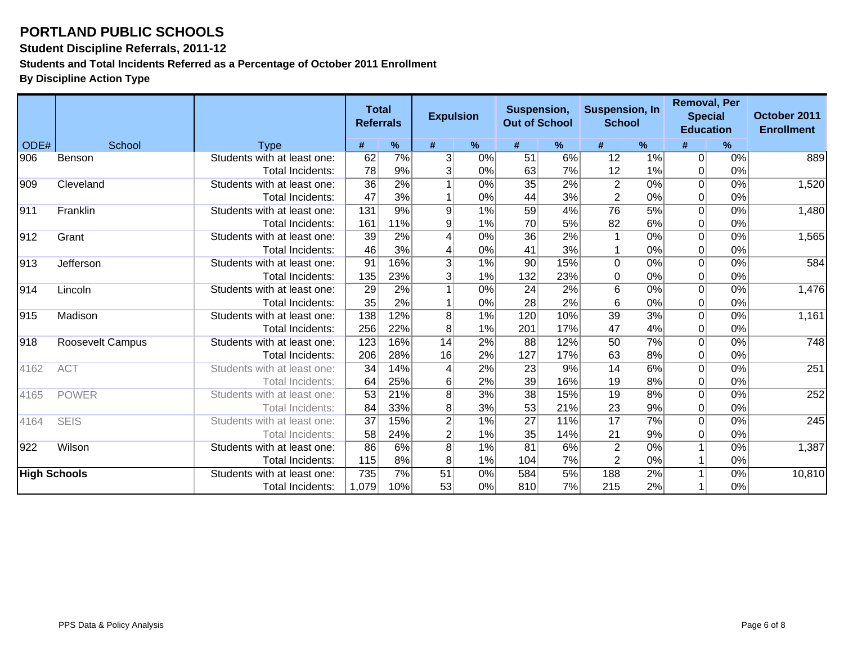**Student Discipline Referrals, 2011-12**

**Students and Total Incidents Referred as a Percentage of October 2011 Enrollment**

|                     |                  |                             | <b>Total</b><br><b>Referrals</b> |                  | <b>Expulsion</b>        |      | Suspension,<br><b>Out of School</b> |     |                 | <b>Suspension, In</b><br><b>School</b> |                | <b>Removal, Per</b><br><b>Special</b><br><b>Education</b> | October 2011<br><b>Enrollment</b> |
|---------------------|------------------|-----------------------------|----------------------------------|------------------|-------------------------|------|-------------------------------------|-----|-----------------|----------------------------------------|----------------|-----------------------------------------------------------|-----------------------------------|
| ODE#                | School           | <b>Type</b>                 | #                                | %                | #                       | $\%$ | #                                   | %   | #               | %                                      |                | %                                                         |                                   |
| 906                 | Benson           | Students with at least one: | 62                               | 7%               | 3                       | 0%   | 51                                  | 6%  | 12              | 1%                                     | $\overline{0}$ | 0%                                                        | 889                               |
|                     |                  | Total Incidents:            | 78                               | 9%               | $\overline{\mathbf{3}}$ | 0%   | 63                                  | 7%  | 12              | 1%                                     | $\overline{0}$ | 0%                                                        |                                   |
| 909                 | Cleveland        | Students with at least one: | 36                               | 2%               |                         | 0%   | $\overline{35}$                     | 2%  | $\overline{2}$  | 0%                                     | $\Omega$       | 0%                                                        | 1,520                             |
|                     |                  | Total Incidents:            | 47                               | 3%               |                         | 0%   | 44                                  | 3%  | $\overline{2}$  | 0%                                     | 0              | 0%                                                        |                                   |
| 911                 | Franklin         | Students with at least one: | 131                              | 9%               | $\overline{9}$          | 1%   | $\overline{59}$                     | 4%  | 76              | 5%                                     | $\Omega$       | 0%                                                        | 1,480                             |
|                     |                  | <b>Total Incidents:</b>     | 161                              | 11%              | 9                       | 1%   | 70                                  | 5%  | 82              | 6%                                     | $\overline{0}$ | 0%                                                        |                                   |
| 912                 | Grant            | Students with at least one: | 39                               | 2%               | 4                       | 0%   | $\overline{36}$                     | 2%  | $\mathbf{1}$    | 0%                                     | $\overline{0}$ | 0%                                                        | 1,565                             |
|                     |                  | Total Incidents:            | 46                               | 3%               | 4                       | 0%   | 41                                  | 3%  |                 | 0%                                     | 0              | 0%                                                        |                                   |
| 913                 | Jefferson        | Students with at least one: | $\overline{91}$                  | 16%              | $\overline{3}$          | 1%   | 90                                  | 15% | $\overline{0}$  | 0%                                     | $\Omega$       | 0%                                                        | 584                               |
|                     |                  | <b>Total Incidents:</b>     | 135                              | 23%              | 3                       | 1%   | 132                                 | 23% | 0               | 0%                                     | $\Omega$       | 0%                                                        |                                   |
| 914                 | Lincoln          | Students with at least one: | 29                               | 2%               |                         | 0%   | $\overline{24}$                     | 2%  | $\overline{6}$  | $0\%$                                  | $\Omega$       | 0%                                                        | 1,476                             |
|                     |                  | <b>Total Incidents:</b>     | 35                               | 2%               |                         | 0%   | 28                                  | 2%  | 6               | 0%                                     | 0              | 0%                                                        |                                   |
| 915                 | Madison          | Students with at least one: | 138                              | 12%              | $\overline{8}$          | 1%   | 120                                 | 10% | $\overline{39}$ | 3%                                     | $\Omega$       | 0%                                                        | 1,161                             |
|                     |                  | Total Incidents:            | 256                              | 22%              | 8                       | 1%   | 201                                 | 17% | 47              | 4%                                     | $\overline{0}$ | 0%                                                        |                                   |
| 918                 | Roosevelt Campus | Students with at least one: | 123                              | 16%              | 14                      | 2%   | 88                                  | 12% | $\overline{50}$ | 7%                                     | $\Omega$       | 0%                                                        | 748                               |
|                     |                  | Total Incidents:            | 206                              | 28%              | 16                      | 2%   | 127                                 | 17% | 63              | 8%                                     | 0              | 0%                                                        |                                   |
| 4162                | <b>ACT</b>       | Students with at least one: | 34                               | 14%              | 4                       | 2%   | $\overline{23}$                     | 9%  | $\overline{14}$ | 6%                                     | $\Omega$       | 0%                                                        | 251                               |
|                     |                  | Total Incidents:            | 64                               | 25%              | 6                       | 2%   | 39                                  | 16% | 19              | 8%                                     | $\Omega$       | 0%                                                        |                                   |
| 4165                | <b>POWER</b>     | Students with at least one: | 53                               | 21%              | $\overline{8}$          | 3%   | $\overline{38}$                     | 15% | $\overline{19}$ | 8%                                     | $\overline{0}$ | 0%                                                        | 252                               |
|                     |                  | Total Incidents:            | 84                               | 33%              | 8                       | 3%   | 53                                  | 21% | 23              | 9%                                     | $\Omega$       | 0%                                                        |                                   |
| 4164                | <b>SEIS</b>      | Students with at least one: | 37                               | 15%              | $\overline{2}$          | 1%   | $\overline{27}$                     | 11% | $\overline{17}$ | 7%                                     | $\overline{0}$ | 0%                                                        | 245                               |
|                     |                  | Total Incidents:            | 58                               | 24%              | $\overline{2}$          | 1%   | 35                                  | 14% | 21              | 9%                                     | 0              | 0%                                                        |                                   |
| 922                 | Wilson           | Students with at least one: | 86                               | 6%               | $\overline{8}$          | 1%   | $\overline{81}$                     | 6%  | $\overline{2}$  | 0%                                     |                | 0%                                                        | 1,387                             |
|                     |                  | Total Incidents:            | 115                              | 8%               | 8                       | 1%   | 104                                 | 7%  | $\overline{2}$  | 0%                                     |                | 0%                                                        |                                   |
| <b>High Schools</b> |                  | Students with at least one: | 735                              | $\overline{7\%}$ | $\overline{51}$         | 0%   | 584                                 | 5%  | 188             | 2%                                     |                | 0%                                                        | 10,810                            |
|                     |                  | Total Incidents:            | 1,079                            | 10%              | 53                      | 0%   | 810                                 | 7%  | 215             | 2%                                     |                | 0%                                                        |                                   |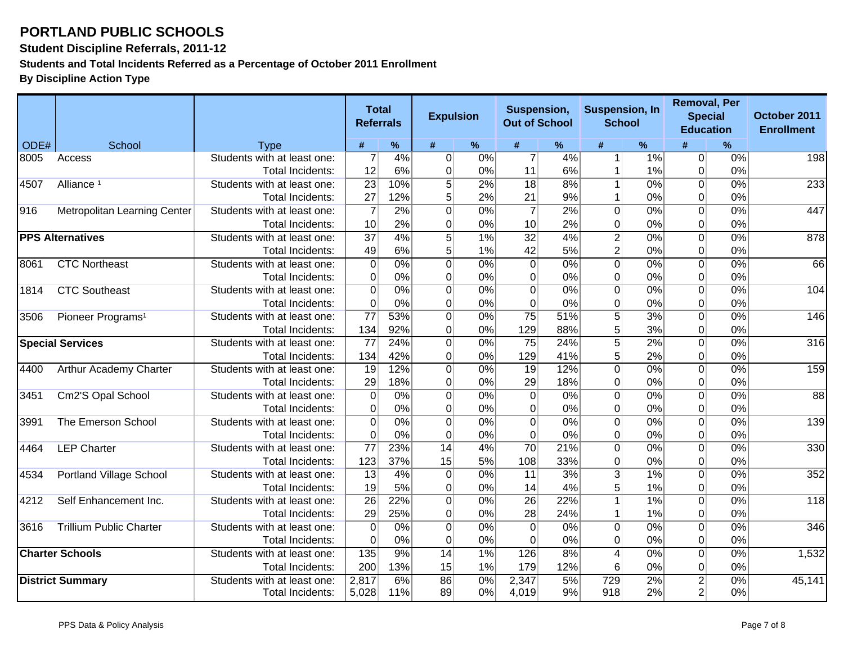**Student Discipline Referrals, 2011-12**

**Students and Total Incidents Referred as a Percentage of October 2011 Enrollment**

|      |                                |                             | <b>Total</b><br><b>Referrals</b> |       | <b>Expulsion</b> |       | Suspension,<br><b>Out of School</b> |     | <b>Suspension, In</b><br><b>School</b> |                  | <b>Removal, Per</b><br><b>Special</b> | <b>Education</b> | October 2011<br><b>Enrollment</b> |
|------|--------------------------------|-----------------------------|----------------------------------|-------|------------------|-------|-------------------------------------|-----|----------------------------------------|------------------|---------------------------------------|------------------|-----------------------------------|
| ODE# | School                         | <b>Type</b>                 | #                                | $\%$  | #                | %     | #                                   | ℅   | #                                      | $\%$             | #                                     | %                |                                   |
| 8005 | Access                         | Students with at least one: | $\overline{7}$                   | 4%    | $\overline{0}$   | 0%    | $\overline{7}$                      | 4%  | 1                                      | 1%               | 0                                     | 0%               | 198                               |
|      |                                | Total Incidents:            | 12                               | 6%    | 0                | 0%    | 11                                  | 6%  |                                        | 1%               | $\overline{0}$                        | 0%               |                                   |
| 4507 | Alliance <sup>1</sup>          | Students with at least one: | $\overline{23}$                  | 10%   | $\overline{5}$   | 2%    | $\overline{18}$                     | 8%  | $\mathbf{1}$                           | 0%               | $\overline{0}$                        | 0%               | 233                               |
|      |                                | <b>Total Incidents:</b>     | 27                               | 12%   | $\mathbf{5}$     | 2%    | 21                                  | 9%  | 1                                      | 0%               | $\overline{0}$                        | 0%               |                                   |
| 916  | Metropolitan Learning Center   | Students with at least one: | $\overline{7}$                   | 2%    | $\overline{0}$   | 0%    | $\overline{7}$                      | 2%  | $\overline{0}$                         | 0%               | $\overline{0}$                        | $0\%$            | 447                               |
|      |                                | <b>Total Incidents:</b>     | 10 <sup>1</sup>                  | 2%    | 0                | 0%    | 10                                  | 2%  | 0                                      | 0%               | $\overline{0}$                        | 0%               |                                   |
|      | <b>PPS Alternatives</b>        | Students with at least one: | $\overline{37}$                  | 4%    | $\overline{5}$   | $1\%$ | 32                                  | 4%  | $\overline{2}$                         | 0%               | $\overline{0}$                        | $0\%$            | 878                               |
|      |                                | Total Incidents:            | 49                               | 6%    | $\overline{5}$   | 1%    | 42                                  | 5%  | $\overline{c}$                         | 0%               | $\overline{0}$                        | 0%               |                                   |
| 8061 | <b>CTC Northeast</b>           | Students with at least one: | $\overline{0}$                   | $0\%$ | $\overline{0}$   | $0\%$ | 0                                   | 0%  | $\overline{0}$                         | 0%               | $\overline{0}$                        | $0\%$            | 66                                |
|      |                                | Total Incidents:            | $\overline{0}$                   | 0%    | 0                | 0%    | 0                                   | 0%  | 0                                      | 0%               | 0                                     | 0%               |                                   |
| 1814 | <b>CTC Southeast</b>           | Students with at least one: | $\overline{0}$                   | 0%    | $\overline{0}$   | 0%    | 0                                   | 0%  | $\overline{0}$                         | 0%               | $\overline{0}$                        | $0\%$            | 104                               |
|      |                                | Total Incidents:            | $\overline{0}$                   | 0%    | $\overline{0}$   | 0%    | $\overline{0}$                      | 0%  | 0                                      | 0%               | $\overline{0}$                        | 0%               |                                   |
| 3506 | Pioneer Programs <sup>1</sup>  | Students with at least one: | $\overline{77}$                  | 53%   | $\overline{0}$   | 0%    | $\overline{75}$                     | 51% | $\overline{5}$                         | 3%               | $\overline{0}$                        | $0\%$            | 146                               |
|      |                                | Total Incidents:            | 134                              | 92%   | 0                | 0%    | 129                                 | 88% | 5                                      | 3%               | $\overline{0}$                        | 0%               |                                   |
|      | <b>Special Services</b>        | Students with at least one: | $\overline{77}$                  | 24%   | 0                | $0\%$ | 75                                  | 24% | $\overline{5}$                         | 2%               | $\overline{0}$                        | $0\%$            | 316                               |
|      |                                | Total Incidents:            | 134                              | 42%   | $\overline{0}$   | 0%    | 129                                 | 41% | 5                                      | 2%               | $\overline{0}$                        | 0%               |                                   |
| 4400 | Arthur Academy Charter         | Students with at least one: | 19                               | 12%   | $\overline{0}$   | $0\%$ | 19                                  | 12% | $\overline{0}$                         | 0%               | $\Omega$                              | $0\%$            | 159                               |
|      |                                | Total Incidents:            | 29                               | 18%   | 0                | 0%    | 29                                  | 18% | 0                                      | 0%               | 0                                     | 0%               |                                   |
| 3451 | Cm2'S Opal School              | Students with at least one: | $\overline{0}$                   | 0%    | $\overline{0}$   | 0%    | $\Omega$                            | 0%  | $\overline{0}$                         | 0%               | $\overline{0}$                        | 0%               | 88                                |
|      |                                | Total Incidents:            | $\Omega$                         | 0%    | 0                | 0%    | $\overline{0}$                      | 0%  | 0                                      | 0%               | $\overline{0}$                        | 0%               |                                   |
| 3991 | The Emerson School             | Students with at least one: | $\overline{0}$                   | 0%    | $\overline{0}$   | 0%    | $\overline{0}$                      | 0%  | $\overline{0}$                         | $\overline{0\%}$ | $\overline{0}$                        | 0%               | 139                               |
|      |                                | Total Incidents:            | $\overline{0}$                   | 0%    | $\overline{0}$   | 0%    | $\Omega$                            | 0%  | 0                                      | 0%               | $\Omega$                              | 0%               |                                   |
| 4464 | <b>LEP Charter</b>             | Students with at least one: | $\overline{77}$                  | 23%   | $\overline{14}$  | 4%    | $\overline{70}$                     | 21% | $\overline{0}$                         | 0%               | $\overline{0}$                        | 0%               | 330                               |
|      |                                | Total Incidents:            | 123                              | 37%   | 15               | 5%    | 108                                 | 33% | 0                                      | 0%               | $\overline{0}$                        | 0%               |                                   |
| 4534 | <b>Portland Village School</b> | Students with at least one: | $\overline{13}$                  | 4%    | $\overline{0}$   | 0%    | $\overline{11}$                     | 3%  | $\overline{3}$                         | 1%               | $\overline{0}$                        | 0%               | 352                               |
|      |                                | <b>Total Incidents:</b>     | 19                               | 5%    | 0                | $0\%$ | 14                                  | 4%  | 5                                      | 1%               | $\overline{0}$                        | 0%               |                                   |
| 4212 | Self Enhancement Inc.          | Students with at least one: | $\overline{26}$                  | 22%   | $\overline{0}$   | 0%    | $\overline{26}$                     | 22% |                                        | 1%               | $\overline{0}$                        | $0\%$            | 118                               |
|      |                                | <b>Total Incidents:</b>     | 29                               | 25%   | 0                | 0%    | 28                                  | 24% | 1                                      | 1%               | $\overline{0}$                        | 0%               |                                   |
| 3616 | <b>Trillium Public Charter</b> | Students with at least one: | $\overline{0}$                   | 0%    | $\overline{0}$   | $0\%$ | $\Omega$                            | 0%  | $\overline{0}$                         | 0%               | $\overline{0}$                        | 0%               | 346                               |
|      |                                | Total Incidents:            | 0                                | 0%    | $\overline{0}$   | 0%    | $\Omega$                            | 0%  | 0                                      | 0%               | $\overline{0}$                        | 0%               |                                   |
|      | <b>Charter Schools</b>         | Students with at least one: | 135                              | 9%    | 14               | 1%    | 126                                 | 8%  | $\overline{4}$                         | $0\%$            | $\overline{0}$                        | $0\%$            | 1,532                             |
|      |                                | Total Incidents:            | 200                              | 13%   | 15               | 1%    | 179                                 | 12% | 6                                      | 0%               | 0                                     | $0\%$            |                                   |
|      | <b>District Summary</b>        | Students with at least one: | 2,817                            | 6%    | 86               | 0%    | 2,347                               | 5%  | 729                                    | 2%               | $\overline{2}$                        | $0\%$            | 45,141                            |
|      |                                | Total Incidents:            | 5,028                            | 11%   | 89               | 0%    | 4,019                               | 9%  | 918                                    | 2%               | $\overline{2}$                        | 0%               |                                   |